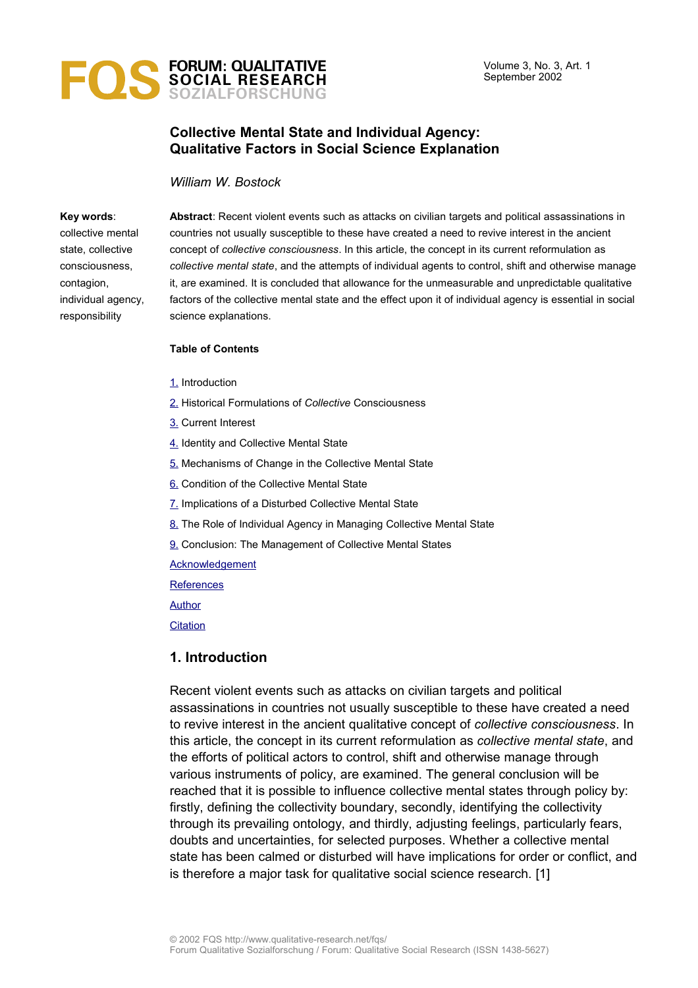

# **Collective Mental State and Individual Agency: Qualitative Factors in Social Science Explanation**

*William W. Bostock*

#### **Key words**:

collective mental state, collective consciousness, contagion, individual agency, responsibility

**Abstract**: Recent violent events such as attacks on civilian targets and political assassinations in countries not usually susceptible to these have created a need to revive interest in the ancient concept of *collective consciousness*. In this article, the concept in its current reformulation as *collective mental state*, and the attempts of individual agents to control, shift and otherwise manage it, are examined. It is concluded that allowance for the unmeasurable and unpredictable qualitative factors of the collective mental state and the effect upon it of individual agency is essential in social science explanations.

#### **Table of Contents**

- [1.](#page-0-0) Introduction
- [2.](#page-1-1) Historical Formulations of *Collective* Consciousness
- [3.](#page-1-0) Current Interest
- [4.](#page-2-1) Identity and Collective Mental State
- [5.](#page-2-0) Mechanisms of Change in the Collective Mental State
- [6.](#page-3-0) Condition of the Collective Mental State
- [7.](#page-4-0) Implications of a Disturbed Collective Mental State
- [8.](#page-6-0) The Role of Individual Agency in Managing Collective Mental State
- [9.](#page-8-0) Conclusion: The Management of Collective Mental States

**[Acknowledgement](#page-9-1)** 

**[References](#page-9-0)** 

[Author](#page-11-1)

**[Citation](#page-11-0)** 

#### <span id="page-0-0"></span>**1. Introduction**

Recent violent events such as attacks on civilian targets and political assassinations in countries not usually susceptible to these have created a need to revive interest in the ancient qualitative concept of *collective consciousness*. In this article, the concept in its current reformulation as *collective mental state*, and the efforts of political actors to control, shift and otherwise manage through various instruments of policy, are examined. The general conclusion will be reached that it is possible to influence collective mental states through policy by: firstly, defining the collectivity boundary, secondly, identifying the collectivity through its prevailing ontology, and thirdly, adjusting feelings, particularly fears, doubts and uncertainties, for selected purposes. Whether a collective mental state has been calmed or disturbed will have implications for order or conflict, and is therefore a major task for qualitative social science research. [1]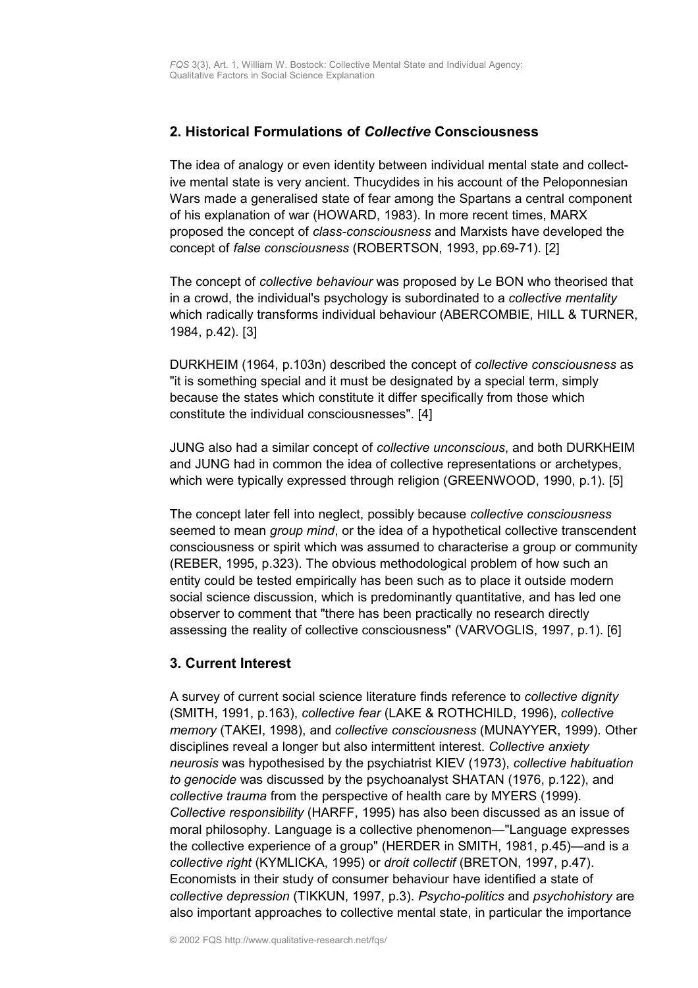# <span id="page-1-1"></span>**2. Historical Formulations of** *Collective* **Consciousness**

The idea of analogy or even identity between individual mental state and collective mental state is very ancient. Thucydides in his account of the Peloponnesian Wars made a generalised state of fear among the Spartans a central component of his explanation of war (HOWARD, 1983). In more recent times, MARX proposed the concept of *class-consciousness* and Marxists have developed the concept of *false consciousness* (ROBERTSON, 1993, pp.69-71). [2]

The concept of *collective behaviour* was proposed by Le BON who theorised that in a crowd, the individual's psychology is subordinated to a *collective mentality* which radically transforms individual behaviour (ABERCOMBIE, HILL & TURNER, 1984, p.42). [3]

DURKHEIM (1964, p.103n) described the concept of *collective consciousness* as "it is something special and it must be designated by a special term, simply because the states which constitute it differ specifically from those which constitute the individual consciousnesses". [4]

JUNG also had a similar concept of *collective unconscious*, and both DURKHEIM and JUNG had in common the idea of collective representations or archetypes, which were typically expressed through religion (GREENWOOD, 1990, p.1). [5]

The concept later fell into neglect, possibly because *collective consciousness* seemed to mean *group mind*, or the idea of a hypothetical collective transcendent consciousness or spirit which was assumed to characterise a group or community (REBER, 1995, p.323). The obvious methodological problem of how such an entity could be tested empirically has been such as to place it outside modern social science discussion, which is predominantly quantitative, and has led one observer to comment that "there has been practically no research directly assessing the reality of collective consciousness" (VARVOGLIS, 1997, p.1). [6]

# <span id="page-1-0"></span>**3. Current Interest**

A survey of current social science literature finds reference to *collective dignity* (SMITH, 1991, p.163), *collective fear* (LAKE & ROTHCHILD, 1996), *collective memory* (TAKEI, 1998), and *collective consciousness* (MUNAYYER, 1999). Other disciplines reveal a longer but also intermittent interest. *Collective anxiety neurosis* was hypothesised by the psychiatrist KIEV (1973), *collective habituation to genocide* was discussed by the psychoanalyst SHATAN (1976, p.122), and *collective trauma* from the perspective of health care by MYERS (1999). *Collective responsibility* (HARFF, 1995) has also been discussed as an issue of moral philosophy. Language is a collective phenomenon—"Language expresses the collective experience of a group" (HERDER in SMITH, 1981, p.45)—and is a *collective right* (KYMLICKA, 1995) or *droit collectif* (BRETON, 1997, p.47). Economists in their study of consumer behaviour have identified a state of *collective depression* (TIKKUN, 1997, p.3). *Psycho-politics* and *psychohistory* are also important approaches to collective mental state, in particular the importance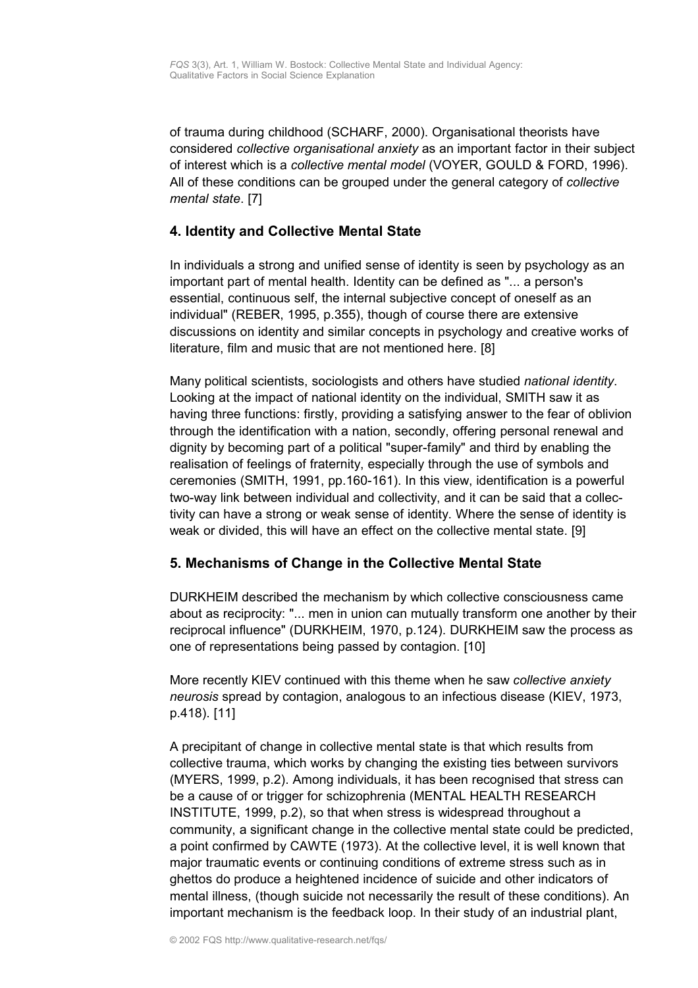of trauma during childhood (SCHARF, 2000). Organisational theorists have considered *collective organisational anxiety* as an important factor in their subject of interest which is a *collective mental model* (VOYER, GOULD & FORD, 1996). All of these conditions can be grouped under the general category of *collective mental state*. [7]

# <span id="page-2-1"></span>**4. Identity and Collective Mental State**

In individuals a strong and unified sense of identity is seen by psychology as an important part of mental health. Identity can be defined as "... a person's essential, continuous self, the internal subjective concept of oneself as an individual" (REBER, 1995, p.355), though of course there are extensive discussions on identity and similar concepts in psychology and creative works of literature, film and music that are not mentioned here. [8]

Many political scientists, sociologists and others have studied *national identity*. Looking at the impact of national identity on the individual, SMITH saw it as having three functions: firstly, providing a satisfying answer to the fear of oblivion through the identification with a nation, secondly, offering personal renewal and dignity by becoming part of a political "super-family" and third by enabling the realisation of feelings of fraternity, especially through the use of symbols and ceremonies (SMITH, 1991, pp.160-161). In this view, identification is a powerful two-way link between individual and collectivity, and it can be said that a collectivity can have a strong or weak sense of identity. Where the sense of identity is weak or divided, this will have an effect on the collective mental state. [9]

# <span id="page-2-0"></span>**5. Mechanisms of Change in the Collective Mental State**

DURKHEIM described the mechanism by which collective consciousness came about as reciprocity: "... men in union can mutually transform one another by their reciprocal influence" (DURKHEIM, 1970, p.124). DURKHEIM saw the process as one of representations being passed by contagion. [10]

More recently KIEV continued with this theme when he saw *collective anxiety neurosis* spread by contagion, analogous to an infectious disease (KIEV, 1973, p.418). [11]

A precipitant of change in collective mental state is that which results from collective trauma, which works by changing the existing ties between survivors (MYERS, 1999, p.2). Among individuals, it has been recognised that stress can be a cause of or trigger for schizophrenia (MENTAL HEALTH RESEARCH INSTITUTE, 1999, p.2), so that when stress is widespread throughout a community, a significant change in the collective mental state could be predicted, a point confirmed by CAWTE (1973). At the collective level, it is well known that major traumatic events or continuing conditions of extreme stress such as in ghettos do produce a heightened incidence of suicide and other indicators of mental illness, (though suicide not necessarily the result of these conditions). An important mechanism is the feedback loop. In their study of an industrial plant,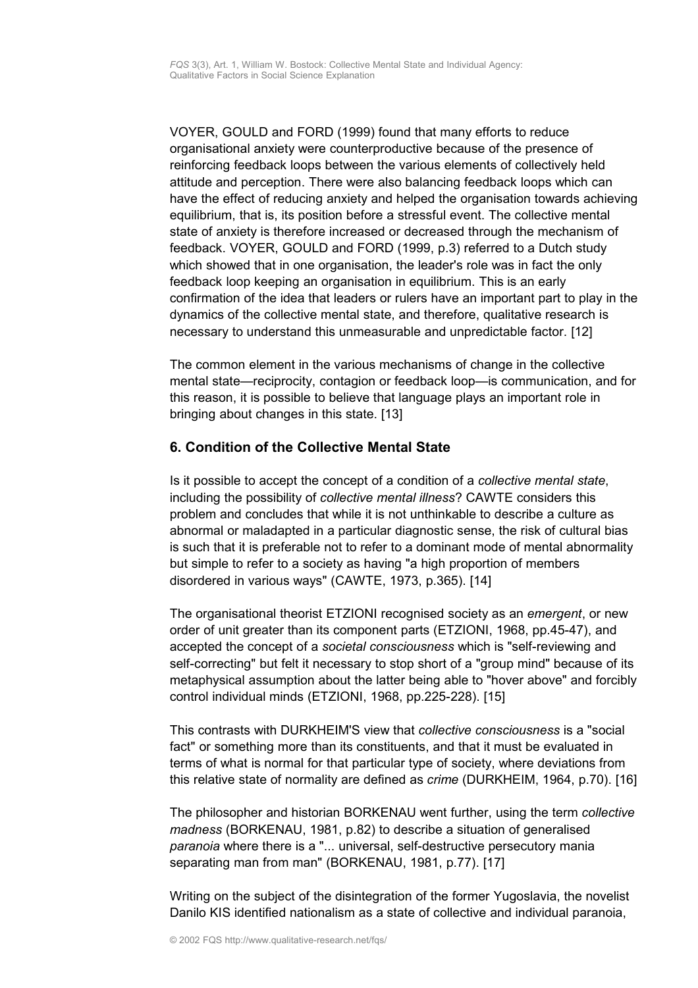VOYER, GOULD and FORD (1999) found that many efforts to reduce organisational anxiety were counterproductive because of the presence of reinforcing feedback loops between the various elements of collectively held attitude and perception. There were also balancing feedback loops which can have the effect of reducing anxiety and helped the organisation towards achieving equilibrium, that is, its position before a stressful event. The collective mental state of anxiety is therefore increased or decreased through the mechanism of feedback. VOYER, GOULD and FORD (1999, p.3) referred to a Dutch study which showed that in one organisation, the leader's role was in fact the only feedback loop keeping an organisation in equilibrium. This is an early confirmation of the idea that leaders or rulers have an important part to play in the dynamics of the collective mental state, and therefore, qualitative research is necessary to understand this unmeasurable and unpredictable factor. [12]

The common element in the various mechanisms of change in the collective mental state—reciprocity, contagion or feedback loop—is communication, and for this reason, it is possible to believe that language plays an important role in bringing about changes in this state. [13]

# <span id="page-3-0"></span>**6. Condition of the Collective Mental State**

Is it possible to accept the concept of a condition of a *collective mental state*, including the possibility of *collective mental illness*? CAWTE considers this problem and concludes that while it is not unthinkable to describe a culture as abnormal or maladapted in a particular diagnostic sense, the risk of cultural bias is such that it is preferable not to refer to a dominant mode of mental abnormality but simple to refer to a society as having "a high proportion of members disordered in various ways" (CAWTE, 1973, p.365). [14]

The organisational theorist ETZIONI recognised society as an *emergent*, or new order of unit greater than its component parts (ETZIONI, 1968, pp.45-47), and accepted the concept of a *societal consciousness* which is "self-reviewing and self-correcting" but felt it necessary to stop short of a "group mind" because of its metaphysical assumption about the latter being able to "hover above" and forcibly control individual minds (ETZIONI, 1968, pp.225-228). [15]

This contrasts with DURKHEIM'S view that *collective consciousness* is a "social fact" or something more than its constituents, and that it must be evaluated in terms of what is normal for that particular type of society, where deviations from this relative state of normality are defined as *crime* (DURKHEIM, 1964, p.70). [16]

The philosopher and historian BORKENAU went further, using the term *collective madness* (BORKENAU, 1981, p.82) to describe a situation of generalised *paranoia* where there is a "... universal, self-destructive persecutory mania separating man from man" (BORKENAU, 1981, p.77). [17]

Writing on the subject of the disintegration of the former Yugoslavia, the novelist Danilo KIS identified nationalism as a state of collective and individual paranoia,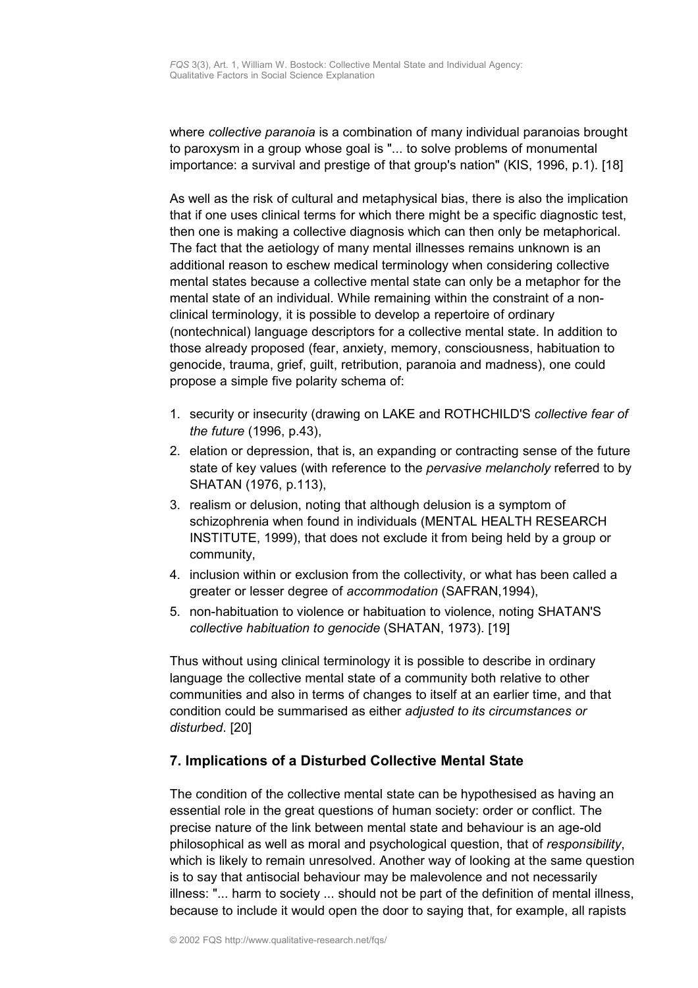where *collective paranoia* is a combination of many individual paranoias brought to paroxysm in a group whose goal is "... to solve problems of monumental importance: a survival and prestige of that group's nation" (KIS, 1996, p.1). [18]

As well as the risk of cultural and metaphysical bias, there is also the implication that if one uses clinical terms for which there might be a specific diagnostic test, then one is making a collective diagnosis which can then only be metaphorical. The fact that the aetiology of many mental illnesses remains unknown is an additional reason to eschew medical terminology when considering collective mental states because a collective mental state can only be a metaphor for the mental state of an individual. While remaining within the constraint of a nonclinical terminology, it is possible to develop a repertoire of ordinary (nontechnical) language descriptors for a collective mental state. In addition to those already proposed (fear, anxiety, memory, consciousness, habituation to genocide, trauma, grief, guilt, retribution, paranoia and madness), one could propose a simple five polarity schema of:

- 1. security or insecurity (drawing on LAKE and ROTHCHILD'S *collective fear of the future* (1996, p.43),
- 2. elation or depression, that is, an expanding or contracting sense of the future state of key values (with reference to the *pervasive melancholy* referred to by SHATAN (1976, p.113),
- 3. realism or delusion, noting that although delusion is a symptom of schizophrenia when found in individuals (MENTAL HEALTH RESEARCH INSTITUTE, 1999), that does not exclude it from being held by a group or community,
- 4. inclusion within or exclusion from the collectivity, or what has been called a greater or lesser degree of *accommodation* (SAFRAN,1994),
- 5. non-habituation to violence or habituation to violence, noting SHATAN'S *collective habituation to genocide* (SHATAN, 1973). [19]

Thus without using clinical terminology it is possible to describe in ordinary language the collective mental state of a community both relative to other communities and also in terms of changes to itself at an earlier time, and that condition could be summarised as either *adjusted to its circumstances or disturbed*. [20]

# <span id="page-4-0"></span>**7. Implications of a Disturbed Collective Mental State**

The condition of the collective mental state can be hypothesised as having an essential role in the great questions of human society: order or conflict. The precise nature of the link between mental state and behaviour is an age-old philosophical as well as moral and psychological question, that of *responsibility*, which is likely to remain unresolved. Another way of looking at the same question is to say that antisocial behaviour may be malevolence and not necessarily illness: "... harm to society ... should not be part of the definition of mental illness, because to include it would open the door to saying that, for example, all rapists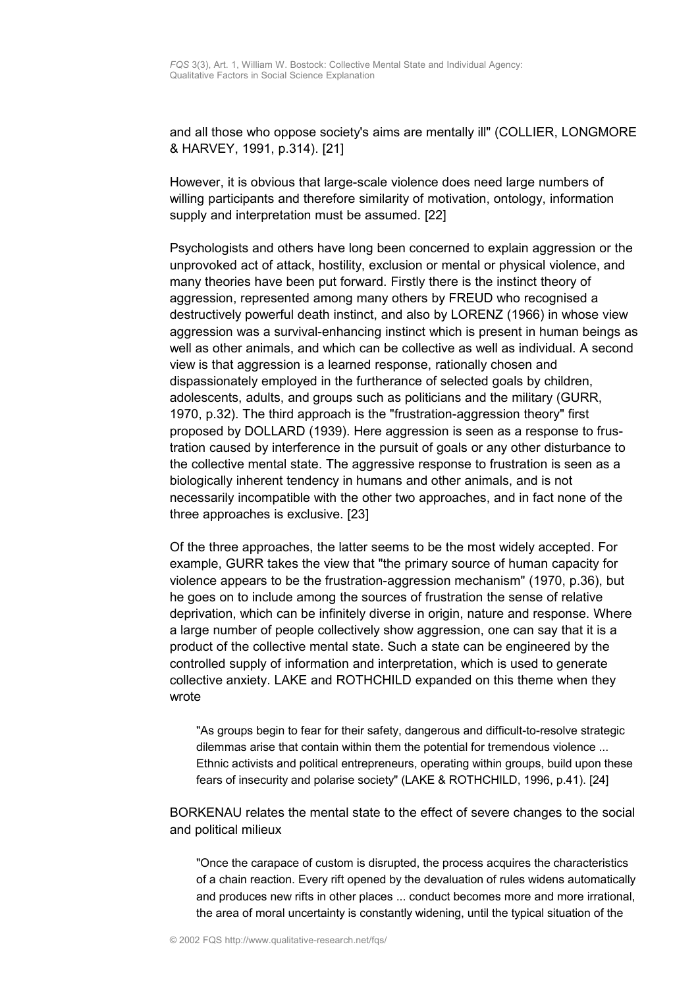and all those who oppose society's aims are mentally ill" (COLLIER, LONGMORE & HARVEY, 1991, p.314). [21]

However, it is obvious that large-scale violence does need large numbers of willing participants and therefore similarity of motivation, ontology, information supply and interpretation must be assumed. [22]

Psychologists and others have long been concerned to explain aggression or the unprovoked act of attack, hostility, exclusion or mental or physical violence, and many theories have been put forward. Firstly there is the instinct theory of aggression, represented among many others by FREUD who recognised a destructively powerful death instinct, and also by LORENZ (1966) in whose view aggression was a survival-enhancing instinct which is present in human beings as well as other animals, and which can be collective as well as individual. A second view is that aggression is a learned response, rationally chosen and dispassionately employed in the furtherance of selected goals by children, adolescents, adults, and groups such as politicians and the military (GURR, 1970, p.32). The third approach is the "frustration-aggression theory" first proposed by DOLLARD (1939). Here aggression is seen as a response to frustration caused by interference in the pursuit of goals or any other disturbance to the collective mental state. The aggressive response to frustration is seen as a biologically inherent tendency in humans and other animals, and is not necessarily incompatible with the other two approaches, and in fact none of the three approaches is exclusive. [23]

Of the three approaches, the latter seems to be the most widely accepted. For example, GURR takes the view that "the primary source of human capacity for violence appears to be the frustration-aggression mechanism" (1970, p.36), but he goes on to include among the sources of frustration the sense of relative deprivation, which can be infinitely diverse in origin, nature and response. Where a large number of people collectively show aggression, one can say that it is a product of the collective mental state. Such a state can be engineered by the controlled supply of information and interpretation, which is used to generate collective anxiety. LAKE and ROTHCHILD expanded on this theme when they wrote

"As groups begin to fear for their safety, dangerous and difficult-to-resolve strategic dilemmas arise that contain within them the potential for tremendous violence ... Ethnic activists and political entrepreneurs, operating within groups, build upon these fears of insecurity and polarise society" (LAKE & ROTHCHILD, 1996, p.41). [24]

BORKENAU relates the mental state to the effect of severe changes to the social and political milieux

"Once the carapace of custom is disrupted, the process acquires the characteristics of a chain reaction. Every rift opened by the devaluation of rules widens automatically and produces new rifts in other places ... conduct becomes more and more irrational, the area of moral uncertainty is constantly widening, until the typical situation of the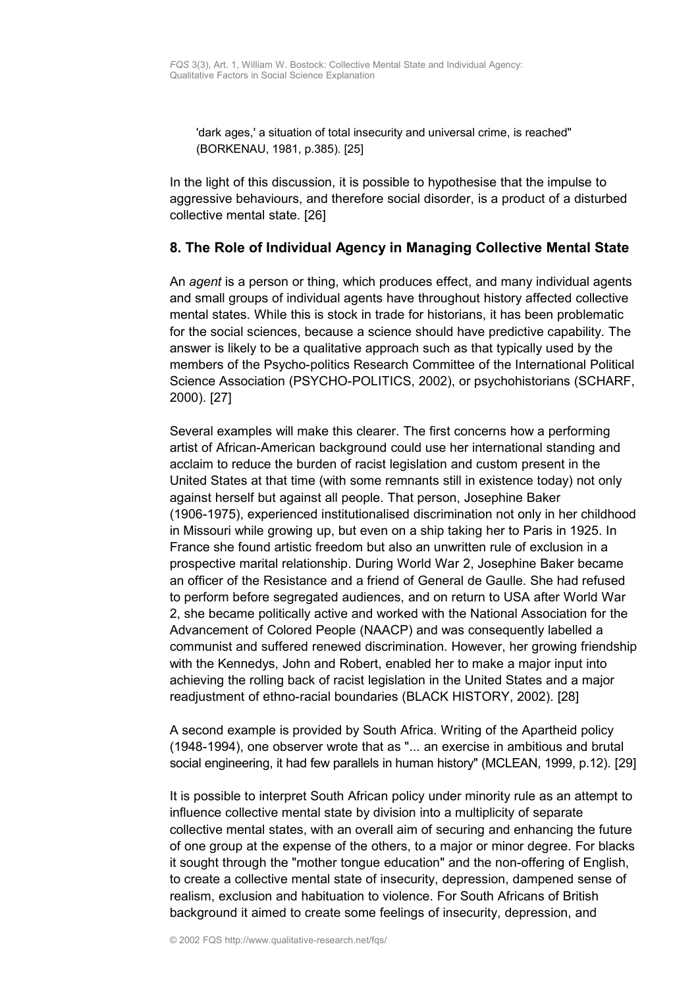'dark ages,' a situation of total insecurity and universal crime, is reached" (BORKENAU, 1981, p.385). [25]

In the light of this discussion, it is possible to hypothesise that the impulse to aggressive behaviours, and therefore social disorder, is a product of a disturbed collective mental state. [26]

### <span id="page-6-0"></span>**8. The Role of Individual Agency in Managing Collective Mental State**

An *agent* is a person or thing, which produces effect, and many individual agents and small groups of individual agents have throughout history affected collective mental states. While this is stock in trade for historians, it has been problematic for the social sciences, because a science should have predictive capability. The answer is likely to be a qualitative approach such as that typically used by the members of the Psycho-politics Research Committee of the International Political Science Association (PSYCHO-POLITICS, 2002), or psychohistorians (SCHARF, 2000). [27]

Several examples will make this clearer. The first concerns how a performing artist of African-American background could use her international standing and acclaim to reduce the burden of racist legislation and custom present in the United States at that time (with some remnants still in existence today) not only against herself but against all people. That person, Josephine Baker (1906-1975), experienced institutionalised discrimination not only in her childhood in Missouri while growing up, but even on a ship taking her to Paris in 1925. In France she found artistic freedom but also an unwritten rule of exclusion in a prospective marital relationship. During World War 2, Josephine Baker became an officer of the Resistance and a friend of General de Gaulle. She had refused to perform before segregated audiences, and on return to USA after World War 2, she became politically active and worked with the National Association for the Advancement of Colored People (NAACP) and was consequently labelled a communist and suffered renewed discrimination. However, her growing friendship with the Kennedys, John and Robert, enabled her to make a major input into achieving the rolling back of racist legislation in the United States and a major readjustment of ethno-racial boundaries (BLACK HISTORY, 2002). [28]

A second example is provided by South Africa. Writing of the Apartheid policy (1948-1994), one observer wrote that as "... an exercise in ambitious and brutal social engineering, it had few parallels in human history" (MCLEAN, 1999, p.12). [29]

It is possible to interpret South African policy under minority rule as an attempt to influence collective mental state by division into a multiplicity of separate collective mental states, with an overall aim of securing and enhancing the future of one group at the expense of the others, to a major or minor degree. For blacks it sought through the "mother tongue education" and the non-offering of English, to create a collective mental state of insecurity, depression, dampened sense of realism, exclusion and habituation to violence. For South Africans of British background it aimed to create some feelings of insecurity, depression, and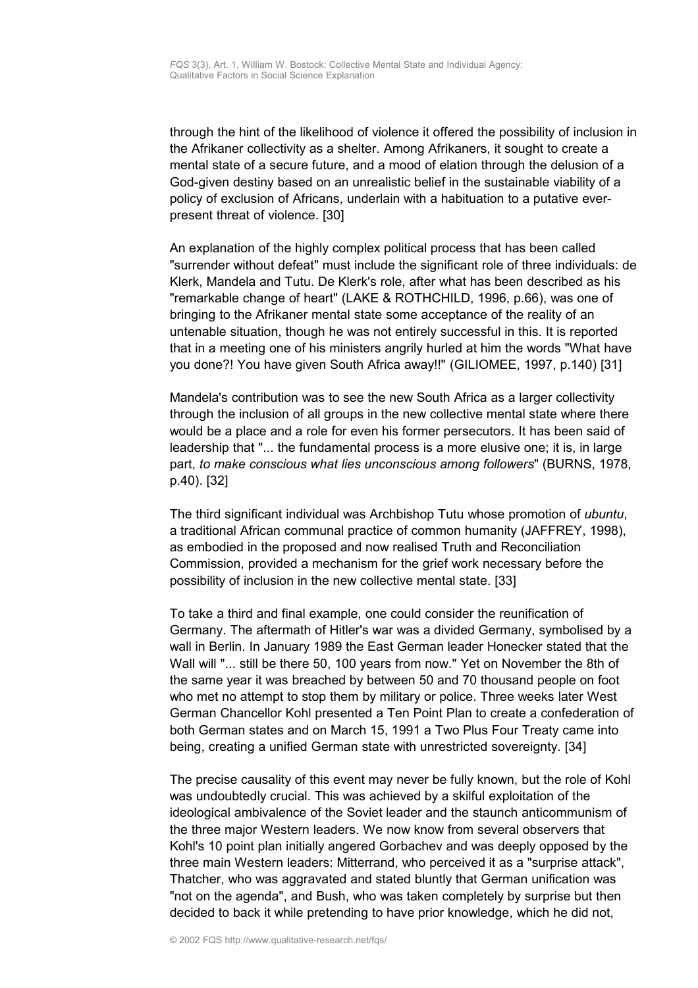through the hint of the likelihood of violence it offered the possibility of inclusion in the Afrikaner collectivity as a shelter. Among Afrikaners, it sought to create a mental state of a secure future, and a mood of elation through the delusion of a God-given destiny based on an unrealistic belief in the sustainable viability of a policy of exclusion of Africans, underlain with a habituation to a putative everpresent threat of violence. [30]

An explanation of the highly complex political process that has been called "surrender without defeat" must include the significant role of three individuals: de Klerk, Mandela and Tutu. De Klerk's role, after what has been described as his "remarkable change of heart" (LAKE & ROTHCHILD, 1996, p.66), was one of bringing to the Afrikaner mental state some acceptance of the reality of an untenable situation, though he was not entirely successful in this. It is reported that in a meeting one of his ministers angrily hurled at him the words "What have you done?! You have given South Africa away!!" (GILIOMEE, 1997, p.140) [31]

Mandela's contribution was to see the new South Africa as a larger collectivity through the inclusion of all groups in the new collective mental state where there would be a place and a role for even his former persecutors. It has been said of leadership that "... the fundamental process is a more elusive one; it is, in large part, *to make conscious what lies unconscious among followers*" (BURNS, 1978, p.40). [32]

The third significant individual was Archbishop Tutu whose promotion of *ubuntu*, a traditional African communal practice of common humanity (JAFFREY, 1998), as embodied in the proposed and now realised Truth and Reconciliation Commission, provided a mechanism for the grief work necessary before the possibility of inclusion in the new collective mental state. [33]

To take a third and final example, one could consider the reunification of Germany. The aftermath of Hitler's war was a divided Germany, symbolised by a wall in Berlin. In January 1989 the East German leader Honecker stated that the Wall will "... still be there 50, 100 years from now." Yet on November the 8th of the same year it was breached by between 50 and 70 thousand people on foot who met no attempt to stop them by military or police. Three weeks later West German Chancellor Kohl presented a Ten Point Plan to create a confederation of both German states and on March 15, 1991 a Two Plus Four Treaty came into being, creating a unified German state with unrestricted sovereignty. [34]

The precise causality of this event may never be fully known, but the role of Kohl was undoubtedly crucial. This was achieved by a skilful exploitation of the ideological ambivalence of the Soviet leader and the staunch anticommunism of the three major Western leaders. We now know from several observers that Kohl's 10 point plan initially angered Gorbachev and was deeply opposed by the three main Western leaders: Mitterrand, who perceived it as a "surprise attack", Thatcher, who was aggravated and stated bluntly that German unification was "not on the agenda", and Bush, who was taken completely by surprise but then decided to back it while pretending to have prior knowledge, which he did not,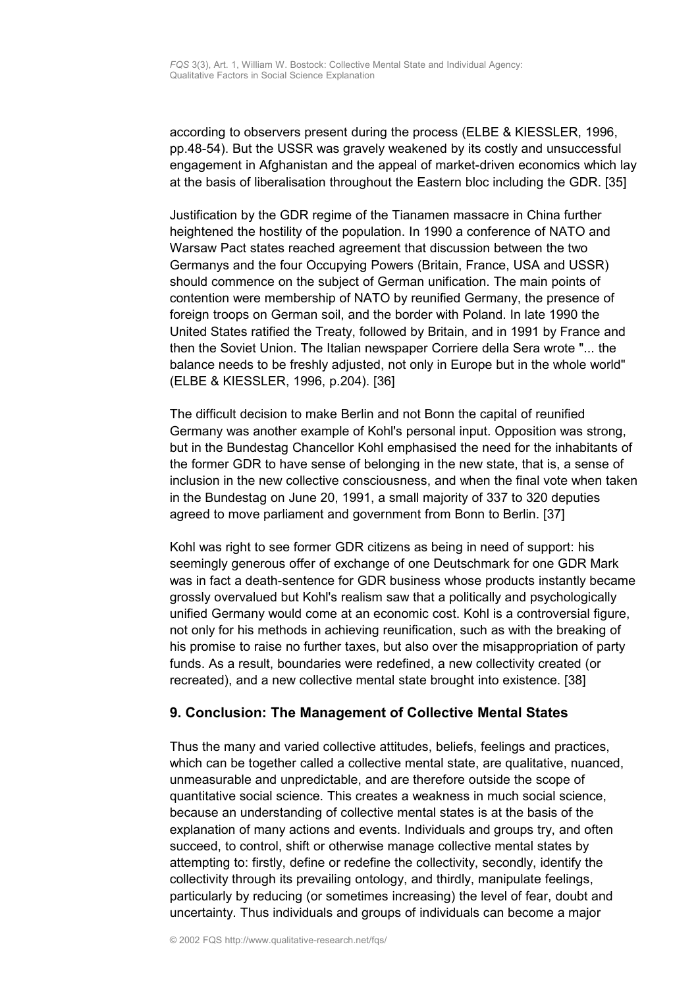according to observers present during the process (ELBE & KIESSLER, 1996, pp.48-54). But the USSR was gravely weakened by its costly and unsuccessful engagement in Afghanistan and the appeal of market-driven economics which lay at the basis of liberalisation throughout the Eastern bloc including the GDR. [35]

Justification by the GDR regime of the Tianamen massacre in China further heightened the hostility of the population. In 1990 a conference of NATO and Warsaw Pact states reached agreement that discussion between the two Germanys and the four Occupying Powers (Britain, France, USA and USSR) should commence on the subject of German unification. The main points of contention were membership of NATO by reunified Germany, the presence of foreign troops on German soil, and the border with Poland. In late 1990 the United States ratified the Treaty, followed by Britain, and in 1991 by France and then the Soviet Union. The Italian newspaper Corriere della Sera wrote "... the balance needs to be freshly adjusted, not only in Europe but in the whole world" (ELBE & KIESSLER, 1996, p.204). [36]

The difficult decision to make Berlin and not Bonn the capital of reunified Germany was another example of Kohl's personal input. Opposition was strong, but in the Bundestag Chancellor Kohl emphasised the need for the inhabitants of the former GDR to have sense of belonging in the new state, that is, a sense of inclusion in the new collective consciousness, and when the final vote when taken in the Bundestag on June 20, 1991, a small majority of 337 to 320 deputies agreed to move parliament and government from Bonn to Berlin. [37]

Kohl was right to see former GDR citizens as being in need of support: his seemingly generous offer of exchange of one Deutschmark for one GDR Mark was in fact a death-sentence for GDR business whose products instantly became grossly overvalued but Kohl's realism saw that a politically and psychologically unified Germany would come at an economic cost. Kohl is a controversial figure, not only for his methods in achieving reunification, such as with the breaking of his promise to raise no further taxes, but also over the misappropriation of party funds. As a result, boundaries were redefined, a new collectivity created (or recreated), and a new collective mental state brought into existence. [38]

# <span id="page-8-0"></span>**9. Conclusion: The Management of Collective Mental States**

Thus the many and varied collective attitudes, beliefs, feelings and practices, which can be together called a collective mental state, are qualitative, nuanced, unmeasurable and unpredictable, and are therefore outside the scope of quantitative social science. This creates a weakness in much social science, because an understanding of collective mental states is at the basis of the explanation of many actions and events. Individuals and groups try, and often succeed, to control, shift or otherwise manage collective mental states by attempting to: firstly, define or redefine the collectivity, secondly, identify the collectivity through its prevailing ontology, and thirdly, manipulate feelings, particularly by reducing (or sometimes increasing) the level of fear, doubt and uncertainty. Thus individuals and groups of individuals can become a major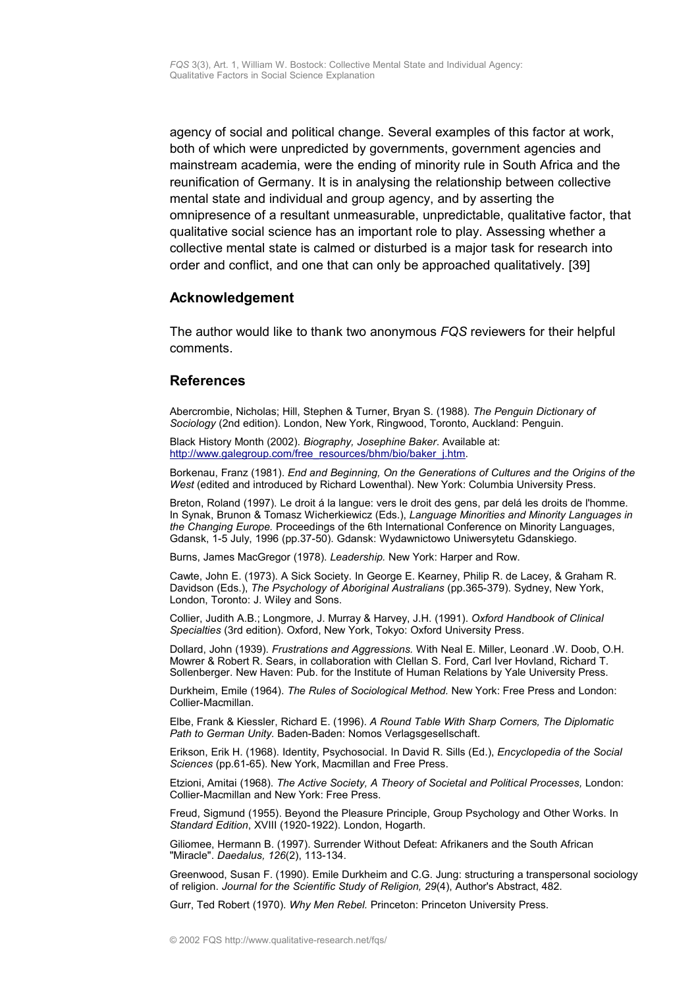agency of social and political change. Several examples of this factor at work, both of which were unpredicted by governments, government agencies and mainstream academia, were the ending of minority rule in South Africa and the reunification of Germany. It is in analysing the relationship between collective mental state and individual and group agency, and by asserting the omnipresence of a resultant unmeasurable, unpredictable, qualitative factor, that qualitative social science has an important role to play. Assessing whether a collective mental state is calmed or disturbed is a major task for research into order and conflict, and one that can only be approached qualitatively. [39]

### <span id="page-9-1"></span>**Acknowledgement**

The author would like to thank two anonymous *FQS* reviewers for their helpful comments.

### <span id="page-9-0"></span>**References**

Abercrombie, Nicholas; Hill, Stephen & Turner, Bryan S. (1988). *The Penguin Dictionary of Sociology* (2nd edition). London, New York, Ringwood, Toronto, Auckland: Penguin.

Black History Month (2002). *Biography, Josephine Baker*. Available at: [http://www.galegroup.com/free\\_resources/bhm/bio/baker\\_j.htm.](http://www.galegroup.com/free_resources/bhm/bio/baker_j.htm)

Borkenau, Franz (1981). *End and Beginning, On the Generations of Cultures and the Origins of the West* (edited and introduced by Richard Lowenthal). New York: Columbia University Press.

Breton, Roland (1997). Le droit á la langue: vers le droit des gens, par delá les droits de l'homme. In Synak, Brunon & Tomasz Wicherkiewicz (Eds.), *Language Minorities and Minority Languages in the Changing Europe.* Proceedings of the 6th International Conference on Minority Languages, Gdansk, 1-5 July, 1996 (pp.37-50). Gdansk: Wydawnictowo Uniwersytetu Gdanskiego.

Burns, James MacGregor (1978). *Leadership.* New York: Harper and Row.

Cawte, John E. (1973). A Sick Society. In George E. Kearney, Philip R. de Lacey, & Graham R. Davidson (Eds.), *The Psychology of Aboriginal Australians* (pp.365-379). Sydney, New York, London, Toronto: J. Wiley and Sons.

Collier, Judith A.B.; Longmore, J. Murray & Harvey, J.H. (1991). *Oxford Handbook of Clinical Specialties* (3rd edition). Oxford, New York, Tokyo: Oxford University Press.

Dollard, John (1939). *Frustrations and Aggressions.* With Neal E. Miller, Leonard .W. Doob, O.H. Mowrer & Robert R. Sears, in collaboration with Clellan S. Ford, Carl Iver Hovland, Richard T. Sollenberger. New Haven: Pub. for the Institute of Human Relations by Yale University Press.

Durkheim, Emile (1964). *The Rules of Sociological Method.* New York: Free Press and London: Collier-Macmillan.

Elbe, Frank & Kiessler, Richard E. (1996). *A Round Table With Sharp Corners, The Diplomatic Path to German Unity.* Baden-Baden: Nomos Verlagsgesellschaft.

Erikson, Erik H. (1968). Identity, Psychosocial. In David R. Sills (Ed.), *Encyclopedia of the Social Sciences* (pp.61-65). New York, Macmillan and Free Press.

Etzioni, Amitai (1968). *The Active Society, A Theory of Societal and Political Processes,* London: Collier-Macmillan and New York: Free Press.

Freud, Sigmund (1955). Beyond the Pleasure Principle, Group Psychology and Other Works. In *Standard Edition*, XVIII (1920-1922). London, Hogarth.

Giliomee, Hermann B. (1997). Surrender Without Defeat: Afrikaners and the South African "Miracle". *Daedalus, 126*(2), 113-134.

Greenwood, Susan F. (1990). Emile Durkheim and C.G. Jung: structuring a transpersonal sociology of religion. *Journal for the Scientific Study of Religion, 29*(4), Author's Abstract, 482.

Gurr, Ted Robert (1970). *Why Men Rebel.* Princeton: Princeton University Press.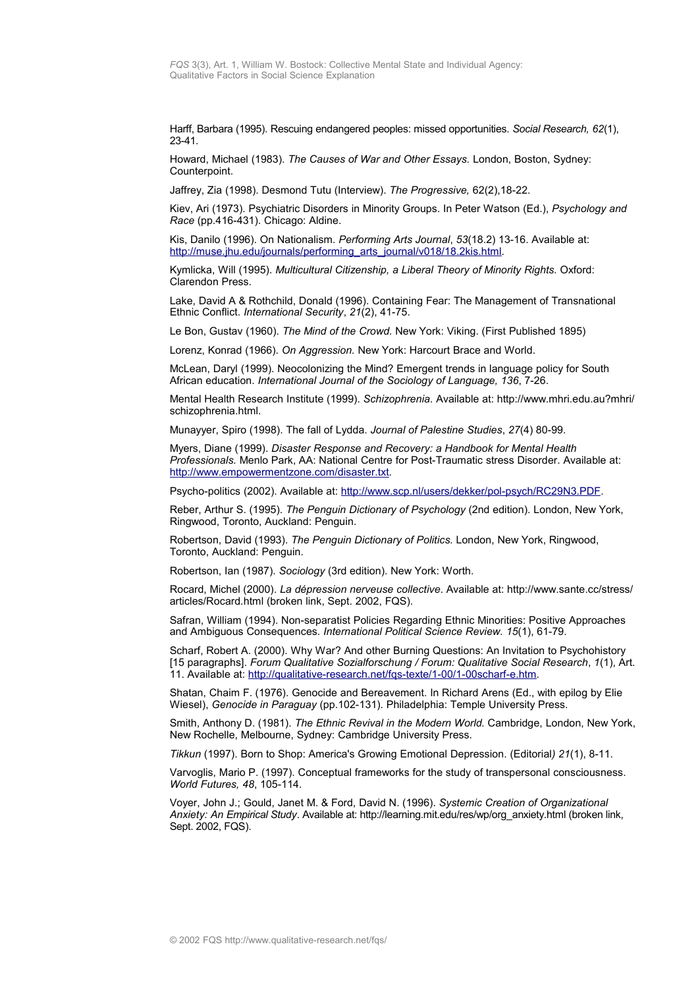Harff, Barbara (1995). Rescuing endangered peoples: missed opportunities. *Social Research, 62*(1), 23-41.

Howard, Michael (1983). *The Causes of War and Other Essays.* London, Boston, Sydney: Counterpoint.

Jaffrey, Zia (1998). Desmond Tutu (Interview). *The Progressive,* 62(2),18-22.

Kiev, Ari (1973). Psychiatric Disorders in Minority Groups. In Peter Watson (Ed.), *Psychology and Race* (pp.416-431). Chicago: Aldine.

Kis, Danilo (1996). On Nationalism. *Performing Arts Journal*, *53*(18.2) 13-16. Available at: [http://muse.jhu.edu/journals/performing\\_arts\\_journal/v018/18.2kis.html.](http://muse.jhu.edu/journals/performing_arts_journal/v018/18.2kis.html)

Kymlicka, Will (1995). *Multicultural Citizenship, a Liberal Theory of Minority Rights.* Oxford: Clarendon Press.

Lake, David A & Rothchild, Donald (1996). Containing Fear: The Management of Transnational Ethnic Conflict. *International Security*, *21*(2), 41-75.

Le Bon, Gustav (1960). *The Mind of the Crowd.* New York: Viking. (First Published 1895)

Lorenz, Konrad (1966). *On Aggression.* New York: Harcourt Brace and World.

McLean, Daryl (1999). Neocolonizing the Mind? Emergent trends in language policy for South African education. *International Journal of the Sociology of Language, 136*, 7-26.

Mental Health Research Institute (1999). *Schizophrenia.* Available at: http://www.mhri.edu.au?mhri/ schizophrenia.html.

Munayyer, Spiro (1998). The fall of Lydda. *Journal of Palestine Studies*, *27*(4) 80-99.

Myers, Diane (1999). *Disaster Response and Recovery: a Handbook for Mental Health Professionals.* Menlo Park, AA: National Centre for Post-Traumatic stress Disorder. Available at: [http://www.empowermentzone.com/disaster.txt.](http://www.empowermentzone.com/disaster.txt)

Psycho-politics (2002). Available at: [http://www.scp.nl/users/dekker/pol-psych/RC29N3.PDF.](http://www.scp.nl/users/dekker/pol-psych/RC29N3.PDF)

Reber, Arthur S. (1995). *The Penguin Dictionary of Psychology* (2nd edition). London, New York, Ringwood, Toronto, Auckland: Penguin.

Robertson, David (1993). *The Penguin Dictionary of Politics.* London, New York, Ringwood, Toronto, Auckland: Penguin.

Robertson, Ian (1987). *Sociology* (3rd edition). New York: Worth.

Rocard, Michel (2000). *La dépression nerveuse collective*. Available at: http://www.sante.cc/stress/ articles/Rocard.html (broken link, Sept. 2002, FQS).

Safran, William (1994). Non-separatist Policies Regarding Ethnic Minorities: Positive Approaches and Ambiguous Consequences. *International Political Science Review. 15*(1), 61-79.

Scharf, Robert A. (2000). Why War? And other Burning Questions: An Invitation to Psychohistory [15 paragraphs]. *Forum Qualitative Sozialforschung / Forum: Qualitative Social Research*, *1*(1), Art. 11. Available at: [http://qualitative-research.net/fqs-texte/1-00/1-00scharf-e.htm.](http://www.qualitative-research.net/fqs-texte/1-00/1-00scharf-e.htm)

Shatan, Chaim F. (1976). Genocide and Bereavement. In Richard Arens (Ed., with epilog by Elie Wiesel), *Genocide in Paraguay* (pp.102-131)*.* Philadelphia: Temple University Press.

Smith, Anthony D. (1981). *The Ethnic Revival in the Modern World.* Cambridge, London, New York, New Rochelle, Melbourne, Sydney: Cambridge University Press.

*Tikkun* (1997). Born to Shop: America's Growing Emotional Depression. (Editorial*) 21*(1), 8-11.

Varvoglis, Mario P. (1997). Conceptual frameworks for the study of transpersonal consciousness. *World Futures, 48*, 105-114.

Voyer, John J.; Gould, Janet M. & Ford, David N. (1996). *Systemic Creation of Organizational Anxiety: An Empirical Study*. Available at: http://learning.mit.edu/res/wp/org\_anxiety.html (broken link, Sept. 2002, FQS).